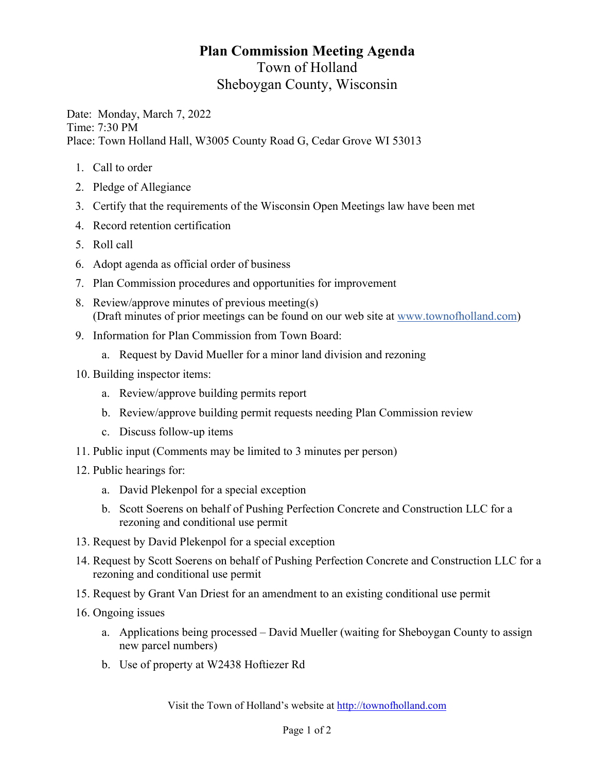## **Plan Commission Meeting Agenda**  Town of Holland Sheboygan County, Wisconsin

## Date: Monday, March 7, 2022 Time: 7:30 PM Place: Town Holland Hall, W3005 County Road G, Cedar Grove WI 53013

- 1. Call to order
- 2. Pledge of Allegiance
- 3. Certify that the requirements of the Wisconsin Open Meetings law have been met
- 4. Record retention certification
- 5. Roll call
- 6. Adopt agenda as official order of business
- 7. Plan Commission procedures and opportunities for improvement
- 8. Review/approve minutes of previous meeting(s) (Draft minutes of prior meetings can be found on our web site at www.townofholland.com)
- 9. Information for Plan Commission from Town Board:
	- a. Request by David Mueller for a minor land division and rezoning
- 10. Building inspector items:
	- a. Review/approve building permits report
	- b. Review/approve building permit requests needing Plan Commission review
	- c. Discuss follow-up items
- 11. Public input (Comments may be limited to 3 minutes per person)
- 12. Public hearings for:
	- a. David Plekenpol for a special exception
	- b. Scott Soerens on behalf of Pushing Perfection Concrete and Construction LLC for a rezoning and conditional use permit
- 13. Request by David Plekenpol for a special exception
- 14. Request by Scott Soerens on behalf of Pushing Perfection Concrete and Construction LLC for a rezoning and conditional use permit
- 15. Request by Grant Van Driest for an amendment to an existing conditional use permit
- 16. Ongoing issues
	- a. Applications being processed David Mueller (waiting for Sheboygan County to assign new parcel numbers)
	- b. Use of property at W2438 Hoftiezer Rd

Visit the Town of Holland's website at http://townofholland.com